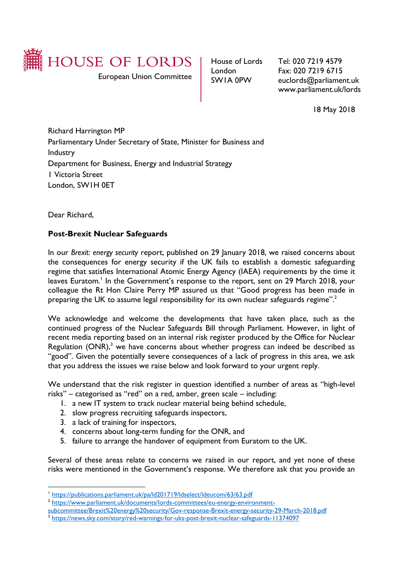

European Union Committee

House of Lords London SW1A 0PW

Tel: 020 7219 4579 Fax: 020 7219 6715 euclords@parliament.uk www.parliament.uk/lords

18 May 2018

Richard Harrington MP Parliamentary Under Secretary of State, Minister for Business and Industry Department for Business, Energy and Industrial Strategy 1 Victoria Street London, SW1H 0ET

Dear Richard,

 $\overline{a}$ 

## **Post-Brexit Nuclear Safeguards**

In our *Brexit: energy security* report, published on 29 January 2018, we raised concerns about the consequences for energy security if the UK fails to establish a domestic safeguarding regime that satisfies International Atomic Energy Agency (IAEA) requirements by the time it leaves Euratom.<sup>1</sup> In the Government's response to the report, sent on 29 March 2018, your colleague the Rt Hon Claire Perry MP assured us that "Good progress has been made in preparing the UK to assume legal responsibility for its own nuclear safeguards regime".<sup>2</sup>

We acknowledge and welcome the developments that have taken place, such as the continued progress of the Nuclear Safeguards Bill through Parliament. However, in light of recent media reporting based on an internal risk register produced by the Office for Nuclear Regulation  $(ONR)$ ,<sup>3</sup> we have concerns about whether progress can indeed be described as "good". Given the potentially severe consequences of a lack of progress in this area, we ask that you address the issues we raise below and look forward to your urgent reply.

We understand that the risk register in question identified a number of areas as "high-level risks" – categorised as "red" on a red, amber, green scale – including:

- 1. a new IT system to track nuclear material being behind schedule,
- 2. slow progress recruiting safeguards inspectors,
- 3. a lack of training for inspectors,
- 4. concerns about long-term funding for the ONR, and
- 5. failure to arrange the handover of equipment from Euratom to the UK.

Several of these areas relate to concerns we raised in our report, and yet none of these risks were mentioned in the Government's response. We therefore ask that you provide an

<sup>&</sup>lt;sup>1</sup> <https://publications.parliament.uk/pa/ld201719/ldselect/ldeucom/63/63.pdf>

<sup>&</sup>lt;sup>2</sup> [https://www.parliament.uk/documents/lords-committees/eu-energy-environment-](https://www.parliament.uk/documents/lords-committees/eu-energy-environment-subcommittee/Brexit%20energy%20security/Gov-response-Brexit-energy-security-29-March-2018.pdf)

[subcommittee/Brexit%20energy%20security/Gov-response-Brexit-energy-security-29-March-2018.pdf](https://www.parliament.uk/documents/lords-committees/eu-energy-environment-subcommittee/Brexit%20energy%20security/Gov-response-Brexit-energy-security-29-March-2018.pdf)

<sup>&</sup>lt;sup>3</sup> <https://news.sky.com/story/red-warnings-for-uks-post-brexit-nuclear-safeguards-11374097>